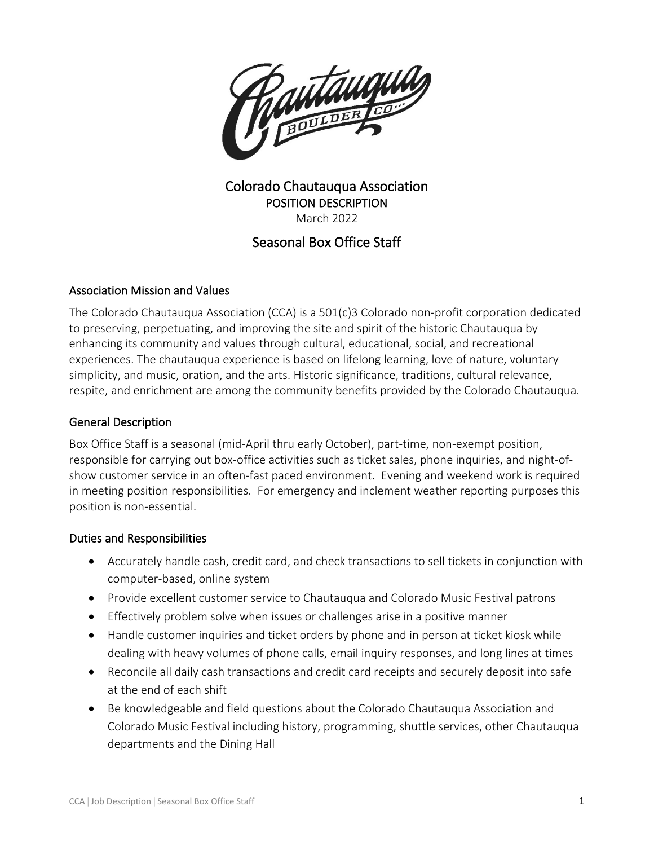

# Colorado Chautauqua Association POSITION DESCRIPTION March 2022

# Seasonal Box Office Staff

## Association Mission and Values

The Colorado Chautauqua Association (CCA) is a 501(c)3 Colorado non-profit corporation dedicated to preserving, perpetuating, and improving the site and spirit of the historic Chautauqua by enhancing its community and values through cultural, educational, social, and recreational experiences. The chautauqua experience is based on lifelong learning, love of nature, voluntary simplicity, and music, oration, and the arts. Historic significance, traditions, cultural relevance, respite, and enrichment are among the community benefits provided by the Colorado Chautauqua.

## General Description

Box Office Staff is a seasonal (mid-April thru early October), part-time, non-exempt position, responsible for carrying out box-office activities such as ticket sales, phone inquiries, and night-ofshow customer service in an often-fast paced environment. Evening and weekend work is required in meeting position responsibilities. For emergency and inclement weather reporting purposes this position is non-essential.

## Duties and Responsibilities

- Accurately handle cash, credit card, and check transactions to sell tickets in conjunction with computer-based, online system
- Provide excellent customer service to Chautauqua and Colorado Music Festival patrons
- Effectively problem solve when issues or challenges arise in a positive manner
- Handle customer inquiries and ticket orders by phone and in person at ticket kiosk while dealing with heavy volumes of phone calls, email inquiry responses, and long lines at times
- Reconcile all daily cash transactions and credit card receipts and securely deposit into safe at the end of each shift
- Be knowledgeable and field questions about the Colorado Chautauqua Association and Colorado Music Festival including history, programming, shuttle services, other Chautauqua departments and the Dining Hall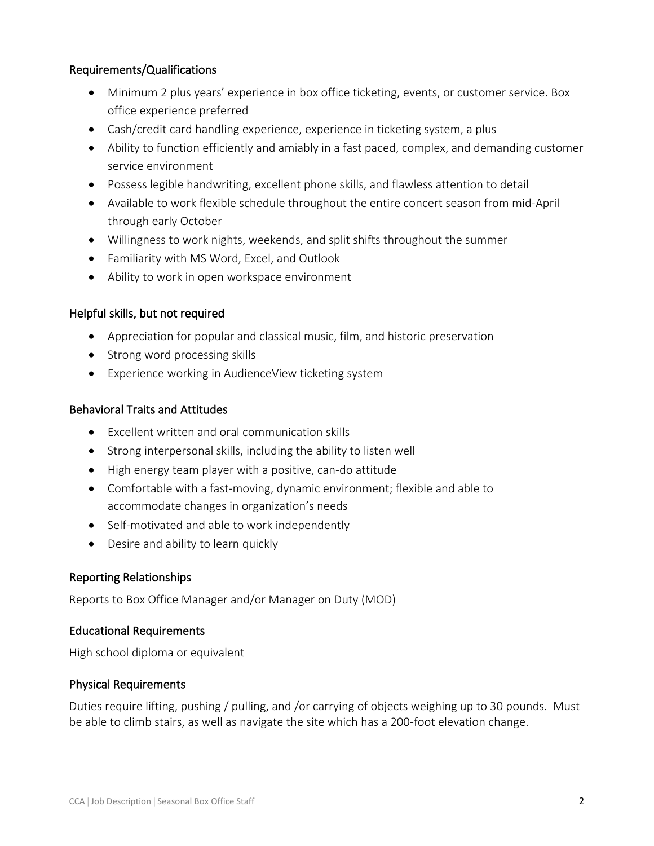## Requirements/Qualifications

- Minimum 2 plus years' experience in box office ticketing, events, or customer service. Box office experience preferred
- Cash/credit card handling experience, experience in ticketing system, a plus
- Ability to function efficiently and amiably in a fast paced, complex, and demanding customer service environment
- Possess legible handwriting, excellent phone skills, and flawless attention to detail
- Available to work flexible schedule throughout the entire concert season from mid-April through early October
- Willingness to work nights, weekends, and split shifts throughout the summer
- Familiarity with MS Word, Excel, and Outlook
- Ability to work in open workspace environment

#### Helpful skills, but not required

- Appreciation for popular and classical music, film, and historic preservation
- Strong word processing skills
- Experience working in AudienceView ticketing system

#### Behavioral Traits and Attitudes

- Excellent written and oral communication skills
- Strong interpersonal skills, including the ability to listen well
- High energy team player with a positive, can-do attitude
- Comfortable with a fast-moving, dynamic environment; flexible and able to accommodate changes in organization's needs
- Self-motivated and able to work independently
- Desire and ability to learn quickly

#### Reporting Relationships

Reports to Box Office Manager and/or Manager on Duty (MOD)

#### Educational Requirements

High school diploma or equivalent

#### Physical Requirements

Duties require lifting, pushing / pulling, and /or carrying of objects weighing up to 30 pounds. Must be able to climb stairs, as well as navigate the site which has a 200-foot elevation change.